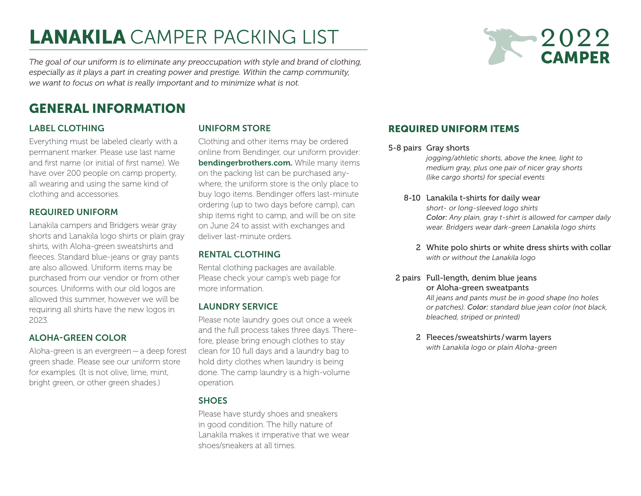# LANAKILA CAMPER PACKING LIST

2022 **CAMPER** 

*The goal of our uniform is to eliminate any preoccupation with style and brand of clothing, especially as it plays a part in creating power and prestige. Within the camp community, we want to focus on what is really important and to minimize what is not.*

## GENERAL INFORMATION

## LABEL CLOTHING

Everything must be labeled clearly with a permanent marker. Please use last name and first name (or initial of first name). We have over 200 people on camp property, all wearing and using the same kind of clothing and accessories.

#### REQUIRED UNIFORM

Lanakila campers and Bridgers wear gray shorts and Lanakila logo shirts or plain gray shirts, with Aloha-green sweatshirts and fleeces. Standard blue-jeans or gray pants are also allowed. Uniform items may be purchased from our vendor or from other sources. Uniforms with our old logos are allowed this summer, however we will be requiring all shirts have the new logos in 2023.

#### ALOHA-GREEN COLOR

Aloha-green is an evergreen—a deep forest green shade. Please see our uniform store for examples. (It is not olive, lime, mint, bright green, or other green shades.)

### UNIFORM STORE

Clothing and other items may be ordered online from Bendinger, our uniform provider: [bendingerbrothers.com.](http://bendingerbrothers.com) While many items on the packing list can be purchased anywhere, the uniform store is the only place to buy logo items. Bendinger offers last-minute ordering (up to two days before camp), can ship items right to camp, and will be on site on June 24 to assist with exchanges and deliver last-minute orders.

## RENTAL CLOTHING

Rental clothing packages are available. Please check your camp's web page for more information.

#### LAUNDRY SERVICE

Please note laundry goes out once a week and the full process takes three days. Therefore, please bring enough clothes to stay clean for 10 full days and a laundry bag to hold dirty clothes when laundry is being done. The camp laundry is a high-volume operation.

#### **SHOES**

Please have sturdy shoes and sneakers in good condition. The hilly nature of Lanakila makes it imperative that we wear shoes/sneakers at all times.

## REQUIRED UNIFORM ITEMS

#### 5-8 pairs Gray shorts

*jogging/athletic shorts, above the knee, light to medium gray, plus one pair of nicer gray shorts (like cargo shorts) for special events*

#### 8-10 Lanakila t-shirts for daily wear *short- or long-sleeved logo shirts Color: Any plain, gray t-shirt is allowed for camper daily wear. Bridgers wear dark-green Lanakila logo shirts*

- 2 White polo shirts or white dress shirts with collar *with or without the Lanakila logo*
- 2 pairs Full-length, denim blue jeans or Aloha-green sweatpants

*All jeans and pants must be in good shape (no holes or patches). Color: standard blue jean color (not black, bleached, striped or printed)*

2 Fleeces /sweatshirts /warm layers *with Lanakila logo or plain Aloha-green*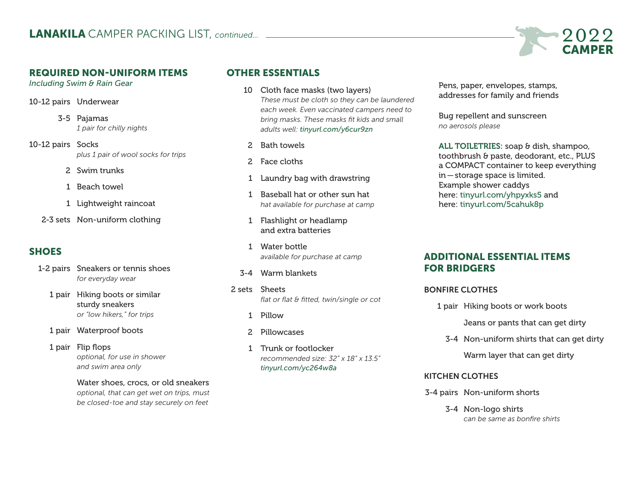

#### REQUIRED NON-UNIFORM ITEMS

*Including Swim & Rain Gear*

10-12 pairs Underwear

3-5 Pajamas *1 pair for chilly nights*

- 10-12 pairs Socks *plus 1 pair of wool socks for trips*
	- 2 Swim trunks
	- 1 Beach towel
	- 1 Lightweight raincoat
	- 2-3 sets Non-uniform clothing

## **SHOES**

- 1-2 pairs Sneakers or tennis shoes *for everyday wear*
	- 1 pair Hiking boots or similar sturdy sneakers *or "low hikers," for trips*
	- 1 pair Waterproof boots
	- 1 pair Flip flops *optional, for use in shower and swim area only*

 Water shoes, crocs, or old sneakers *optional, that can get wet on trips, must be closed-toe and stay securely on feet*

## OTHER ESSENTIALS

- 10 Cloth face masks (two layers) *These must be cloth so they can be laundered each week. Even vaccinated campers need to bring masks. These masks fit kids and small adults well: [tinyurl.com/y6cur9zn](https://www.amazon.com/gp/product/B086WC1LDD/ref=ppx_yo_dt_b_search_asin_title?ie=UTF8&psc=1&pldnSite=1)*
- 2 Bath towels
- 2 Face cloths
- 1 Laundry bag with drawstring
- 1 Baseball hat or other sun hat *hat available for purchase at camp*
- 1 Flashlight or headlamp and extra batteries
- 1 Water bottle *available for purchase at camp*
- 3-4 Warm blankets
- 2 sets Sheets *flat or flat & fitted, twin/single or cot*
	- 1 Pillow
	- 2 Pillowcases
	- 1 Trunk or footlocker *recommended size: 32" x 18" x 13.5" [tinyurl.com/yc264w8a](https://tinyurl.com/yc264w8a)*

 Pens, paper, envelopes, stamps, addresses for family and friends

 Bug repellent and sunscreen *no aerosols please*

ALL TOILETRIES: soap & dish, shampoo, toothbrush & paste, deodorant, etc., PLUS a COMPACT container to keep everything in—storage space is limited. Example shower caddys here: [tinyurl.com/yhpyxks5](http://tinyurl.com/yhpyxks5) and here: [tinyurl.com/5cahuk8p](https://tinyurl.com/5cahuk8p)

## ADDITIONAL ESSENTIAL ITEMS FOR BRIDGERS

#### BONFIRE CLOTHES

1 pair Hiking boots or work boots

Jeans or pants that can get dirty

3-4 Non-uniform shirts that can get dirty

Warm layer that can get dirty

#### KITCHEN CLOTHES

- 3-4 pairs Non-uniform shorts
	- 3-4 Non-logo shirts *can be same as bonfire shirts*